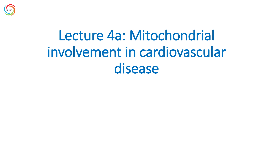

## Lecture 4a: Mitochondrial involvement in cardiovascular disease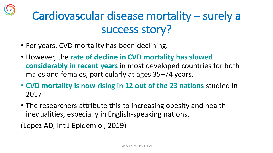### Cardiovascular disease mortality – surely a success story?

- For years, CVD mortality has been declining.
- However, the **rate of decline in CVD mortality has slowed considerably in recent years** in most developed countries for both males and females, particularly at ages 35–74 years.
- **CVD mortality is now rising in 12 out of the 23 nations** studied in 2017.
- The researchers attribute this to increasing obesity and health inequalities, especially in English-speaking nations.

(Lopez AD, Int J Epidemiol, 2019)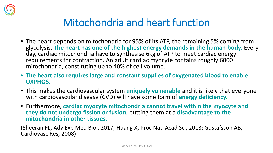

#### Mitochondria and heart function

- The heart depends on mitochondria for 95% of its ATP, the remaining 5% coming from glycolysis. **The heart has one of the highest energy demands in the human body.** Every day, cardiac mitochondria have to synthesise 6kg of ATP to meet cardiac energy requirements for contraction. An adult cardiac myocyte contains roughly 6000 mitochondria, constituting up to 40% of cell volume.
- **The heart also requires large and constant supplies of oxygenated blood to enable OXPHOS.**
- This makes the cardiovascular system **uniquely vulnerable** and it is likely that everyone with cardiovascular disease (CVD) will have some form of **energy deficiency.**
- Furthermore, **cardiac myocyte mitochondria cannot travel within the myocyte and they do not undergo fission or fusion**, putting them at a **disadvantage to the mitochondria in other tissues**.

(Sheeran FL, Adv Exp Med Biol, 2017; Huang X, Proc Natl Acad Sci, 2013; Gustafsson AB, Cardiovasc Res, 2008)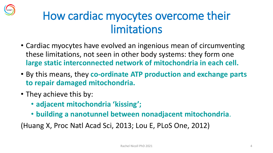

#### How cardiac myocytes overcome their limitations

- Cardiac myocytes have evolved an ingenious mean of circumventing these limitations, not seen in other body systems: they form one **large static interconnected network of mitochondria in each cell.**
- By this means, they **co-ordinate ATP production and exchange parts to repair damaged mitochondria.**
- They achieve this by:
	- **adjacent mitochondria 'kissing';**
	- **building a nanotunnel between nonadjacent mitochondria**.

(Huang X, Proc Natl Acad Sci, 2013; Lou E, PLoS One, 2012)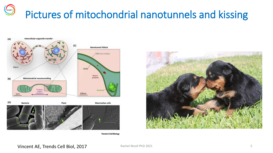#### HERT Pictures of mitochondrial nanotunnels and kissing



**Trends in Cell Biology** 



Vincent AE, Trends Cell Biol, 2017 **Rachel Nicoll PhD 2021** 5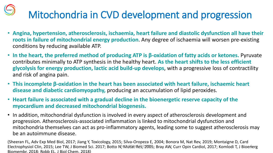# Mitochondria in CVD development and progression

- **Angina, hypertension, atherosclerosis, ischaemia, heart failure and diastolic dysfunction all have their roots in failure of mitochondrial energy production**. Any degree of ischaemia will worsen pre-existing conditions by reducing available ATP.
- **In the heart, the preferred method of producing ATP is β-oxidation of fatty acids or ketones.** Pyruvate contributes minimally to ATP synthesis in the healthy heart. **As the heart shifts to the less efficient glycolysis for energy production, lactic acid build-up develops**, with a progressive loss of contractility and risk of angina pain.
- **This incomplete β-oxidation in the heart has been associated with heart failure, ischaemic heart disease and diabetic cardiomyopathy,** producing an accumulation of lipid peroxides.
- **Heart failure is associated with a gradual decline in the bioenergetic reserve capacity of the myocardium and decreased mitochondrial biogenesis.**
- In addition, mitochondrial dysfunction is involved in every aspect of atherosclerosis development and progression. Atherosclerosis-associated inflammation is linked to mitochondrial dysfunction and mitochondria themselves can act as pro-inflammatory agents, leading some to suggest atherosclerosis may be an autoimmune disease.

(Sheeran FL, Adv Exp Med Biol, 2017; Jiang Y, Toxicology, 2015; Silva-Oropeza E, 2004; Bonora M, Nat Rev, 2019; Montaigne D, Card Electrophysiol Clin, 2015; Lee TW, J Biomed Sci. 2017; Botto N; Mutat Res, 2005; Bray AW, Curr Opin Cardiol, 2017; Komlodi T, J Bioenerg Biomembr, 2018; Robb EL, J Biol Chem, 2018)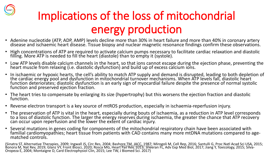

## Implications of the loss of mitochondrial energy production

- Adenine nucleotide (ATP, ADP, AMP) levels decline more than 30% in heart failure and more than 40% in coronary artery disease and ischaemic heart disease. Tissue biopsy and nuclear magnetic resonance findings confirm these observations.
- High concentrations of ATP are required to activate calcium pumps necessary to facilitate cardiac relaxation and diastolic filling. More ATP is needed to fill the heart (diastole) than to empty it (systole).
- Low ATP levels disable calcium channels in the heart, so that ions cannot escape during the ejection phase, preventing the heart muscle from relaxing (i.e. diastolic dysfunction) and build up of excess calcium ions.
- In ischaemic or hypoxic hearts, the cell's ability to match ATP supply and demand is disrupted, leading to both depletion of the cardiac energy pool and dysfunction in mitochondrial turnover mechanisms. When ATP levels fall, diastolic heart function deteriorates; diastolic dysfunction is an early sign of myocardial failure despite the presence of normal systolic function and preserved ejection fraction.
- The heart tries to compensate by enlarging its size (hypertrophy) but this worsens the ejection fraction and diastolic function.
- Reverse electron transport is a key source of mtROS production, especially in ischaemia-reperfusion injury.
- The preservation of ATP is vital in the heart, especially during bouts of ischaemia, as a reduction in ATP level corresponds to a loss of diastolic function. The larger the energy reserves during ischaemia, the greater the chance that ATP recovery can occur upon reperfusion and the lower the extent of cardiac injury.
- Several mutations in genes coding for components of the mitochondrial respiratory chain have been associated with familial cardiomyopathies; heart tissue from patients with CAD contains many more mtDNA mutations compared to agematched controls.

(Sinatra ST, Alternative Therapies, 2009; Ingwall JS, Circ Res, 2004; Bashore TM, JACC, 1987; Mirogoli M, Cell Rep, 2016; Santulli G, Proc Natl Acad Sci USA, 2015; Bonora M, Nat Rev, 2019; Glanz VY, Front Biosci, 2020; Rosca MG, Heart Fail Rev, 2013; Sheeran FL, Adv Exp Med Biol, 2017; Jiang Y, Toxicology, 2015; Silva-Oropeza E, 2004; Montaigne D, Card Electrophysiol Clin, 2015; Lee TW, J Biomed Sci. 2017) Rachel Nicolard Phys Ivinogon M, Cen Rep, 2010, Santam O, I Toc Nati Acad Sci 03/3<br>Resiler Nicolard Sheeran El Adv Evn Med Riol 2017: Ijang V Tovicology 2015: Silv: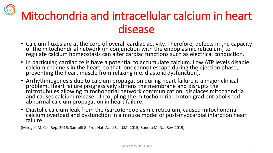# Mitochondria and intracellular calcium in heart disease

- Calcium fluxes are at the core of overall cardiac activity. Therefore, defects in the capacity of the mitochondrial network (in conjunction with the endoplasmic reticulum) to regulate calcium homeostasis can alter cardiac functions such as electrical conduction.
- In particular, cardiac cells have a potential to accumulate calcium. Low ATP levels disable calcium channels in the heart, so that ions cannot escape during the ejection phase, preventing the heart muscle from relaxing (i.e. diastolic dysfunction).
- Arrhythmogenesis due to calcium propagation during heart failure is a major clinical problem. Heart failure progressively stiffens the membrane and disrupts the microtubules allowing mitochondrial network communication, displaces mitochondria and causes calcium release. Uncoupling the mitochondrial proton gradient abolished abnormal calcium propagation in heart failure.
- Diastolic calcium leak from the (sarco)endoplasmic reticulum, caused mitochondrial calcium overload and dysfunction in a mouse model of post-myocardial infarction heart failure.

(Mirogoli M, Cell Rep, 2016; Santulli G, Proc Natl Acad Sci USA, 2015; Bonora M, Nat Rev, 2019)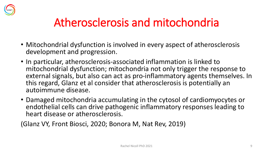

#### Atherosclerosis and mitochondria

- Mitochondrial dysfunction is involved in every aspect of atherosclerosis development and progression.
- In particular, atherosclerosis-associated inflammation is linked to mitochondrial dysfunction; mitochondria not only trigger the response to external signals, but also can act as pro-inflammatory agents themselves. In this regard, Glanz et al consider that atherosclerosis is potentially an autoimmune disease.
- Damaged mitochondria accumulating in the cytosol of cardiomyocytes or endothelial cells can drive pathogenic inflammatory responses leading to heart disease or atherosclerosis.

(Glanz VY, Front Biosci, 2020; Bonora M, Nat Rev, 2019)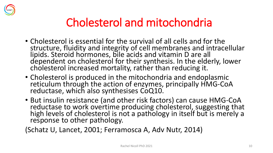

#### Cholesterol and mitochondria

- Cholesterol is essential for the survival of all cells and for the structure, fluidity and integrity of cell membranes and intracellular lipids. Steroid hormones, bile acids and vitamin D are all dependent on cholesterol for their synthesis. In the elderly, lower cholesterol increased mortality, rather than reducing it.
- Cholesterol is produced in the mitochondria and endoplasmic reticulum through the action of enzymes, principally HMG-CoA reductase, which also synthesises CoQ10.
- But insulin resistance (and other risk factors) can cause HMG-CoA reductase to work overtime producing cholesterol, suggesting that high levels of cholesterol is not a pathology in itself but is merely a response to other pathology.

(Schatz U, Lancet, 2001; Ferramosca A, Adv Nutr, 2014)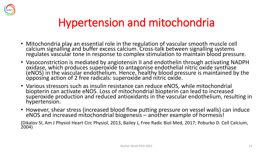

#### Hypertension and mitochondria

- Mitochondria play an essential role in the regulation of vascular smooth muscle cell calcium signalling and buffer excess calcium. Cross-talk between signalling systems regulates vascular tone in response to complex stimulation to maintain blood pressure.
- Vasoconstriction is mediated by angiotensin II and endothelin through activating NADPH oxidase, which produces superoxide to antagonise endothelial nitric oxide synthase (eNOS) in the vascular endothelium. Hence, healthy blood pressure is maintained by the opposing action of 2 free radicals: superoxide and nitric oxide.
- Various stressors such as insulin resistance can reduce eNOS, while mitochondrial biopterin can activate eNOS. Loss of mitochondrial biopterin can lead to increased superoxide production and reduced antioxidants in the vascular endothelium, resulting in hypertension.
- However, shear stress (increased blood flow putting pressure on vessel walls) can induce eNOS and increased mitochondrial biogenesis – another example of hormesis!

(Dikalov SI, Am J Physiol Heart Circ Physiol, 2013, Bailey J, Free Radic Biol Med, 2017; Poburko D. Cell Calcium, 2004)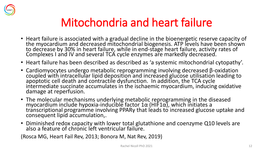

#### Mitochondria and heart failure

- Heart failure is associated with a gradual decline in the bioenergetic reserve capacity of the myocardium and decreased mitochondrial biogenesis. ATP levels have been shown to decrease by 30% in heart failure, while in end-stage heart failure, activity rates of Complexes I and IV and several TCA cycle enzymes are markedly decreased.
- Heart failure has been described as described as 'a systemic mitochondrial cytopathy'.
- Cardiomyocytes undergo metabolic reprogramming involving decreased β-oxidation coupled with intracellular lipid deposition and increased glucose utilisation leading to apoptotic cell death and contractile dysfunction. In addition, the TCA cycle intermediate succinate accumulates in the ischaemic myocardium, inducing oxidative damage at reperfusion.
- The molecular mechanisms underlying metabolic reprogramming in the diseased myocardium include hypoxia-inducible factor  $1α$  (HIF1α), which initiates a transcriptional programme involving PPARγ that leads to increased glucose uptake and consequent lipid accumulation,.
- Diminished redox capacity with lower total glutathione and coenzyme Q10 levels are also a feature of chronic left ventricular failure.

(Rosca MG, Heart Fail Rev, 2013; Bonora M, Nat Rev, 2019)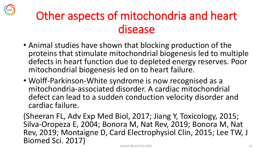#### Other aspects of mitochondria and heart disease

- Animal studies have shown that blocking production of the proteins that stimulate mitochondrial biogenesis led to multiple defects in heart function due to depleted energy reserves. Poor mitochondrial biogenesis led on to heart failure.
- Wolff-Parkinson-White syndrome is now recognised as a mitochondria-associated disorder. A cardiac mitochondrial defect can lead to a sudden conduction velocity disorder and cardiac failure.

(Sheeran FL, Adv Exp Med Biol, 2017; Jiang Y, Toxicology, 2015; Silva-Oropeza E, 2004; Bonora M, Nat Rev, 2019; Bonora M, Nat Rev, 2019; Montaigne D, Card Electrophysiol Clin, 2015; Lee TW, J Biomed Sci. 2017) Rachel Nicoll PhD 2021 13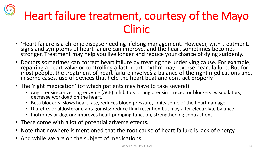## Heart failure treatment, courtesy of the Mayo Clinic

- 'Heart failure is a chronic disease needing lifelong management. However, with treatment, signs and symptoms of heart failure can improve, and the heart sometimes becomes stronger. Treatment may help you live longer and reduce your chance of dying suddenly.
- Doctors sometimes can correct heart failure by treating the underlying cause. For example, repairing a heart valve or controlling a fast heart rhythm may reverse heart failure. But for most people, the treatment of heart failure involves a balance of the right medications and, in some cases, use of devices that help the heart beat and contract properly.'
- The 'right medication' (of which patients may have to take several):
	- Angiotensin-converting enzyme (ACE) inhibitors or angiotensin II receptor blockers: vasodilators, decrease workload on the heart.
	- Beta blockers: slows heart rate, reduces blood pressure, limits some of the heart damage.
	- Diuretics or aldosterone antagonists: reduce fluid retention but may alter electrolyte balance.
	- Inotropes or digoxin: improves heart pumping function, strengthening contractions.
- These come with a lot of potential adverse effects.
- Note that nowhere is mentioned that the root cause of heart failure is lack of energy.
- And while we are on the subject of medications…..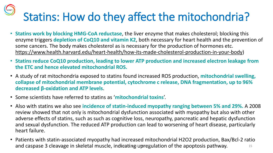# Statins: How do they affect the mitochondria?

- **Statins work by blocking HMG-CoA reductase**, the liver enzyme that makes cholesterol; blocking this enzyme triggers **depletion of CoQ10 and vitamin K2**, both necessary for heart health and the prevention of some cancers. The body makes cholesterol as is necessary for the production of hormones etc. [https://www.health.harvard.edu/heart-health/how-its-made-cholesterol-production-in-your-body\)](https://www.health.harvard.edu/heart-health/how-its-made-cholesterol-production-in-your-body)
- **Statins reduce CoQ10 production, leading to lower ATP production and increased electron leakage from the ETC and hence elevated mitochondrial ROS.**
- A study of rat mitochondria exposed to statins found increased ROS production, **mitochondrial swelling, collapse of mitochondrial membrane potential, cytochrome c release, DNA fragmentation, up to 96% decreased β-oxidation and ATP levels**.
- Some scientists have referred to statins as '**mitochondrial toxins**'.
- Also with statins we also see **incidence of statin-induced myopathy ranging between 5% and 29%.** A 2008 review showed that not only is mitochondrial dysfunction associated with myopathy but also with other adverse effects of statins, such as such as cognitive loss, neuropathy, pancreatic and hepatic dysfunction and sexual dysfunction. The reduced ATP production can lead to worsening of heart disease, particularly heart failure.
- Patients with statin-associated myopathy had increased mitochondrial H2O2 production, Bax/Bcl-2 ratio and caspase 3 cleavage in skeletal muscle, indicating upregulation of the apoptosis pathway.  $\frac{15}{2}$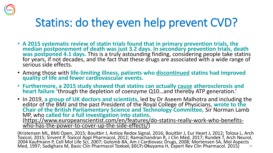

#### Statins: do they even help prevent CVD?

- **A 2015 systematic review of statin trials found that in primary prevention trials, the median postponement of death was just 3.2 days. In secondary prevention trials, death was postponed 4.1 days.** This is a truly astounding finding, considering people take statins for years, if not decades, and the fact that these drugs are associated with a wide range of serious side effects.
- Among those with **life-limiting illness, patients who discontinued statins had improved quality of life and fewer cardiovascular events.**
- **Furthermore, a 2015 study showed that statins can actually cause atherosclerosis and heart failure** 'through the depletion of coenzyme Q10…and thereby ATP generation.'

• In 2019, **a group of UK doctors and scientists**, led by Dr Aseem Malhotra and including the editor of the BMJ and the past President of the Royal College of Physicians, **wrote to the Chair of the British Parliamentary Science and Technology Committee,** Sir Norman Lamb MP, who **called for a full investigation into statins.** [\(https://www.europeanscientist.com/en/features/do-statins-really-work-who-benefits](https://www.europeanscientist.com/en/features/do-statins-really-work-who-benefits-who-has-the-power-to-cover-up-the-side-effects/)who-has-the-power-to-cover-up-the-side-effects/)

(Kristensen ML, BMJ Open, 2015; Bouitbir J, Antiox Redox Signal, 2016; Bouitbir J, Eur Heart J, 2012; Tolosa L, Arch Toxicol, 2015; Sirvent P, Toxicol Appl Pharmacol, 2012; Ramachandran R, J Clin Med, 2017; Rundek T, Arch Neurol, 2004 Kaufmann P, Cell Mol Life Sci, 2007; Golomb BA, Am J Cardiovasc Drugs, 2008; Mortensen SA, Mol Aspects<br>Med 1997: Sadighara M, Basic Clin Pharmacol Toximal Mol FreQinyama H, Expert Rey Clin Pharmacol, 2015) 16 Med, 1997; Sadighara M, Basic Clin Pharmacol Toxicol Dig 2017; Okuyama H, Expert Rev Clin Pharmacol. 2015)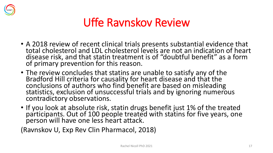

#### Uffe Ravnskov Review

- A 2018 review of recent clinical trials presents substantial evidence that total cholesterol and LDL cholesterol levels are not an indication of heart disease risk, and that statin treatment is of "doubtful benefit" as a form of primary prevention for this reason.
- The review concludes that statins are unable to satisfy any of the Bradford Hill criteria for causality for heart disease and that the conclusions of authors who find benefit are based on misleading statistics, exclusion of unsuccessful trials and by ignoring numerous contradictory observations.
- If you look at absolute risk, statin drugs benefit just 1% of the treated participants. Out of 100 people treated with statins for five years, one person will have one less heart attack.

(Ravnskov U, Exp Rev Clin Pharmacol, 2018)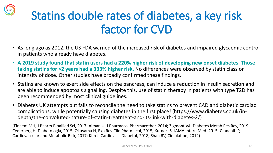

## Statins double rates of diabetes, a key risk factor for CVD

- As long ago as 2012, the US FDA warned of the increased risk of diabetes and impaired glycaemic control in patients who already have diabetes.
- **A 2019 study found that statin users had a 220% higher risk of developing new onset diabetes. Those taking statins for >2 years had a 333% higher risk.** No differences were observed by statin class or intensity of dose. Other studies have broadly confirmed these findings.
- Statins are known to exert side effects on the pancreas, can induce a reduction in insulin secretion and are able to induce apoptosis signalling. Despite this, use of statin therapy in patients with type T2D has been recommended by most clinical guidelines.
- Diabetes UK attempts but fails to reconcile the need to take statins to prevent CAD and diabetic cardiac [complications, while potentially causing diabetes in the first place! \(https://www.diabetes.co.uk/in](https://www.diabetes.co.uk/in-depth/the-convoluted-nature-of-statin-treatment-and-its-link-with-diabetes-2/)depth/the-convoluted-nature-of-statin-treatment-and-its-link-with-diabetes-2/)

(Elnaem MH, J Pharm Bioallied Sci, 2017; Aiman U, J Pharmacol Pharmacother, 2014; Zigmont VA, Diabetes Metab Res Rev, 2019; Cederberg H, Diabetologia, 2015; Okuyama H, Exp Rev Clin Pharmacol, 2015; Kutner JS, JAMA Intern Med. 2015; Crandall JP, Cardiovascular and Metabolic Risk, 2017; Kim J. Cardiovasc Diabetol, 2018; Shah RV, Circulation, 2012)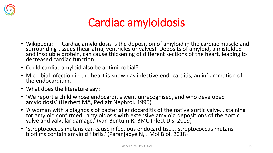

#### Cardiac amyloidosis

- Wikipedia: Cardiac amyloidosis is the deposition of amyloid in the cardiac muscle and surrounding tissues (hear atria, ventricles or valves). Deposits of amyloid, a misfolded and insoluble protein, can cause thickening of different sections of the heart, leading to decreased cardiac function.
- Could cardiac amyloid also be antimicrobial?
- Microbial infection in the heart is known as infective endocarditis, an inflammation of the endocardium.
- What does the literature say?
- 'We report a child whose endocarditis went unrecognised, and who developed amyloidosis' (Herbert MA, Pediatr Nephrol. 1995)
- 'A woman with a diagnosis of bacterial endocarditis of the native aortic valve….staining for amyloid confirmed…amyloidosis with extensive amyloid depositions of the aortic valve and valvular damage.' (van Bentum R, BMC Infect Dis. 2019)
- 'Streptococcus mutans can cause infectious endocarditis….. Streptococcus mutans biofilms contain amyloid fibrils.' (Paranjapye N, J Mol Biol. 2018)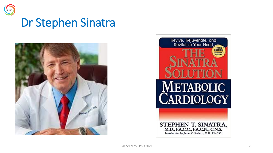

#### Dr Stephen Sinatra



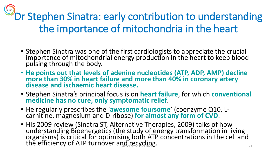**Pr Stephen Sinatra: early contribution to understanding** the importance of mitochondria in the heart

- Stephen Sinatra was one of the first cardiologists to appreciate the crucial importance of mitochondrial energy production in the heart to keep blood pulsing through the body.
- **He points out that levels of adenine nucleotides (ATP, ADP, AMP) decline more than 30% in heart failure and more than 40% in coronary artery disease and ischaemic heart disease.**
- Stephen Sinatra's principal focus is on **heart failure**, for which **conventional medicine has no cure, only symptomatic relief**.
- He regularly prescribes the '**awesome foursome**' (coenzyme Q10, Lcarnitine, magnesium and D-ribose) **for almost any form of CVD**.
- His 2009 review (Sinatra ST, Alternative Therapies, 2009) talks of how understanding Bioenergetics (the study of energy transformation in living organisms) is critical for optimising both ATP concentrations in the cell and the efficiency of ATP turnover and recycling.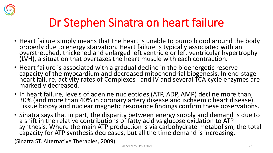

## Dr Stephen Sinatra on heart failure

- Heart failure simply means that the heart is unable to pump blood around the body properly due to energy starvation. Heart failure is typically associated with an overstretched, thickened and enlarged left ventricle or left ventricular hypertrophy (LVH), a situation that overtaxes the heart muscle with each contraction.
- Heart failure is associated with a gradual decline in the bioenergetic reserve capacity of the myocardium and decreased mitochondrial biogenesis. In end-stage heart failure, activity rates of Complexes I and IV and several TCA cycle enzymes are markedly decreased.
- In heart failure, levels of adenine nucleotides (ATP, ADP, AMP) decline more than 30% (and more than 40% in coronary artery disease and ischaemic heart disease). Tissue biopsy and nuclear magnetic resonance findings confirm these observations.
- Sinatra says that in part, the disparity between energy supply and demand is due to a shift in the relative contributions of fatty acid vs glucose oxidation to ATP synthesis. Where the main ATP production is via carbohydrate metabolism, the total capacity for ATP synthesis decreases, but all the time demand is increasing.

(Sinatra ST, Alternative Therapies, 2009)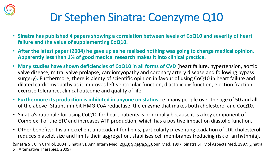

#### Dr Stephen Sinatra: Coenzyme Q10

- **Sinatra has published 4 papers showing a correlation between levels of CoQ10 and severity of heart failure and the value of supplementing CoQ10.**
- **After the latest paper (2004) he gave up as he realised nothing was going to change medical opinion. Apparently less than 1% of good medical research makes it into clinical practice.**
- **Many studies have shown deficiencies of CoQ10 in all forms of CVD** (heart failure, hypertension, aortic valve disease, mitral valve prolapse, cardiomyopathy and coronary artery disease and following bypass surgery)**.** Furthermore, there is plenty of scientific opinion in favour of using CoQ10 in heart failure and dilated cardiomyopathy as it improves left ventricular function, diastolic dysfunction, ejection fraction, exercise tolerance, clinical outcome and quality of life.
- **Furthermore its production is inhibited in anyone on statins** i.e. many people over the age of 50 and all of the above! Statins inhibit HMG-CoA reductase, the enzyme that makes both cholesterol and CoQ10.
- Sinatra's rationale for using CoQ10 for heart patients is principally because it is a key component of Complex II of the ETC and increases ATP production, which has a positive impact on diastolic function.
- Other benefits: it is an excellent antioxidant for lipids, particularly preventing oxidation of LDL cholesterol, reduces platelet size and limits their aggregation, stabilises cell membranes (reducing risk of arrhythmia).

(Sinatra ST, Clin Cardiol, 2004; Sinatra ST, Ann Intern Med, 2000; Sinatra ST, 20nn Med, 1997; Sinatra ST, Mol Aspects Med, 1997; Sinatra ST, Alternative Therapies, 2009)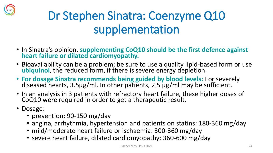

## Dr Stephen Sinatra: Coenzyme Q10 supplementation

- In Sinatra's opinion, **supplementing CoQ10 should be the first defence against heart failure or dilated cardiomyopathy.**
- Bioavailability can be a problem; be sure to use a quality lipid-based form or use **ubiquinol**, the reduced form, if there is severe energy depletion.
- **For dosage Sinatra recommends being guided by blood levels:** For severely diseased hearts, 3.5μg/ml. In other patients, 2.5 μg/ml may be sufficient.
- In an analysis in 3 patients with refractory heart failure, these higher doses of CoQ10 were required in order to get a therapeutic result.
- Dosage:
	- prevention: 90-150 mg/day
	- angina, arrhythmia, hypertension and patients on statins: 180-360 mg/day
	- mild/moderate heart failure or ischaemia: 300-360 mg/day
	- severe heart failure, dilated cardiomyopathy: 360-600 mg/day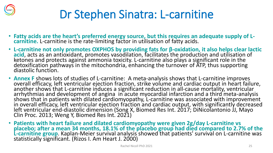

## Dr Stephen Sinatra: L-carnitine

- **Fatty acids are the heart's preferred energy source, but this requires an adequate supply of Lcarnitine.** L-carnitine is the rate-limiting factor in utilisation of fatty acids.
- **L-carnitine not only promotes OXPHOS by providing fats for β-oxidation, it also helps clear lactic acid**, acts as an antioxidant, promotes vasodilation, facilitates the production and utilisation of ketones and protects against ammonia toxicity. L-carnitine also plays a significant role in the detoxification pathways in the mitochondria, enhancing the turnover of ATP, thus supporting diastolic function.
- **Annex F** shows lots of studies of L-carnitine: A meta-analysis shows that L-carnitine improves overall efficacy, left ventricular ejection fraction, strike volume and cardiac output in heart failure, another shows that L-carnitine induces a significant reduction in all-cause mortality, ventricular arrhythmias and development of angina in acute myocardial infarction and a third meta-analysis shows that in patients with dilated cardiomyopathy, L-carnitine was associated with improvement in overall efficacy, left ventricular ejection fraction and cardiac output, with significantly decreased left ventricular end-diastolic dimension (Song X, Biomed Res Int. 2017; DiNicolantonio JJ, Mayo Clin Proc. 2013; Weng Y, Biomed Res Int. 2021)
- **Patients with heart failure and dilated cardiomyopathy were given 2g/day L-carnitine vs placebo; after a mean 34 months, 18.1% of the placebo group had died compared to 2.7% of the**  L-carnitine group. Kaplan-Meier survival analysis showed that patients' survival on L-carnitine was statistically significant. (Rizos I. Am Heart J. 2000)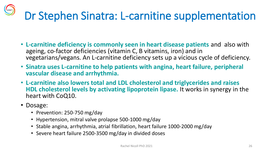# Dr Stephen Sinatra: L-carnitine supplementation

- **L-carnitine deficiency is commonly seen in heart disease patients** and also with ageing, co-factor deficiencies (vitamin C, B vitamins, iron) and in vegetarians/vegans. An L-carnitine deficiency sets up a vicious cycle of deficiency.
- **Sinatra uses L-carnitine to help patients with angina, heart failure, peripheral vascular disease and arrhythmia.**
- **L-carnitine also lowers total and LDL cholesterol and triglycerides and raises HDL cholesterol levels by activating lipoprotein lipase.** It works in synergy in the heart with CoQ10.
- Dosage:
	- Prevention: 250-750 mg/day
	- Hypertension, mitral valve prolapse 500-1000 mg/day
	- Stable angina, arrhythmia, atrial fibrillation, heart failure 1000-2000 mg/day
	- Severe heart failure 2500-3500 mg/day in divided doses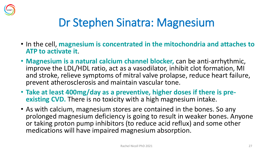

#### Dr Stephen Sinatra: Magnesium

- In the cell, **magnesium is concentrated in the mitochondria and attaches to ATP to activate it**.
- **Magnesium is a natural calcium channel blocker,** can be anti-arrhythmic, improve the LDL/HDL ratio, act as a vasodilator, inhibit clot formation, MI and stroke, relieve symptoms of mitral valve prolapse, reduce heart failure, prevent atherosclerosis and maintain vascular tone.
- **Take at least 400mg/day as a preventive, higher doses if there is preexisting CVD.** There is no toxicity with a high magnesium intake.
- As with calcium, magnesium stores are contained in the bones. So any prolonged magnesium deficiency is going to result in weaker bones. Anyone or taking proton pump inhibitors (to reduce acid reflux) and some other medications will have impaired magnesium absorption.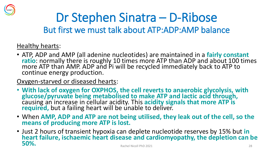

#### Dr Stephen Sinatra – D-Ribose But first we must talk about ATP:ADP:AMP balance

#### Healthy hearts:

- ATP, ADP and AMP (all adenine nucleotides) are maintained in a **fairly constant ratio**: normally there is roughly 10 times more ATP than ADP and about 100 times more ATP than AMP. ADP and Pi will be recycled immediately back to ATP to continue energy production.
- Oxygen-starved or diseased hearts:
- **With lack of oxygen for OXPHOS, the cell reverts to anaerobic glycolysis, with glucose/pyruvate being metabolised to make ATP and lactic acid through,** causing an increase in cellular acidity. This **acidity signals that more ATP is required,** but a failing heart will be unable to deliver.
- When **AMP, ADP and ATP are not being utilised, they leak out of the cell, so the means of producing more ATP is lost.**
- Just 2 hours of transient hypoxia can deplete nucleotide reserves by 15% but **in heart failure, ischaemic heart disease and cardiomyopathy, the depletion can be 50%.** Rachel Nicoll PhD 2021 <sup>28</sup>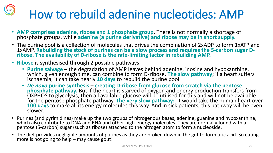# How to rebuild adenine nucleotides: AMP

- **AMP comprises adenine, ribose and 1 phosphate group**. There is not normally a shortage of phosphate groups, while **adenine (a purine derivative) and ribose may be in short supply.**
- The purine pool is a collection of molecules that drives the combination of 2xADP to form 1xATP and 1xAMP. **Rebuilding the stock of purines can be a slow process and requires the 5-carbon sugar Dribose. The availability of D-ribose is the rate-limiting factor in rebuilding AMP.**
- **Ribose** is synthesised through 2 possible pathways:
	- **Purine salvage**  the degradation of AMP leaves behind adenine, inosine and hypoxanthine, which, given enough time, can combine to form D-ribose. **The slow pathway**; if a heart suffers ischaemia, it can take nearly **10 days** to rebuild the purine pool.
	- *De novo* **purine synthesis creating D-ribose from glucose from scratch via the pentose phosphate pathway.** But if the heart is starved of oxygen and energy production transfers from OXPHOS to glycolysis, then all available glucose will be utilised for this and will not be available for the pentose phosphate pathway. **The very slow pathway:** it would take the human heart over **100 days** to make all its energy molecules this way. And in sick patients, this pathway will be even slower.
- Purines (and pyrimidines) make up the two groups of nitrogenous bases, adenine, guanine and hypoxanthine, which also contribute to DNA and RNA and other high-energy molecules. They are normally found with a pentose (5-carbon) sugar (such as ribose) attached to the nitrogen atom to form a nucleoside.
- The diet provides negligible amounts of purines as they are broken down in the gut to form uric acid. So eating more is not going to  $heIp$  – may cause gout!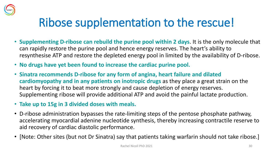

#### Ribose supplementation to the rescue!

- **Supplementing D-ribose can rebuild the purine pool within 2 days**. It is the only molecule that can rapidly restore the purine pool and hence energy reserves. The heart's ability to resynthesise ATP and restore the depleted energy pool in limited by the availability of D-ribose.
- **No drugs have yet been found to increase the cardiac purine pool.**
- **Sinatra recommends D-ribose for any form of angina, heart failure and dilated cardiomyopathy and in any patients on inotropic drugs** as they place a great strain on the heart by forcing it to beat more strongly and cause depletion of energy reserves. Supplementing ribose will provide additional ATP and avoid the painful lactate production.
- **Take up to 15g in 3 divided doses with meals.**
- D-ribose administration bypasses the rate-limiting steps of the pentose phosphate pathway, accelerating myocardial adenine nucleotide synthesis, thereby increasing contractile reserve to aid recovery of cardiac diastolic performance.
- [Note: Other sites (but not Dr Sinatra) say that patients taking warfarin should not take ribose.]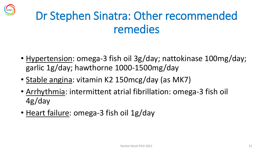

## Dr Stephen Sinatra: Other recommended remedies

- Hypertension: omega-3 fish oil 3g/day; nattokinase 100mg/day; garlic 1g/day; hawthorne 1000-1500mg/day
- Stable angina: vitamin K2 150mcg/day (as MK7)
- Arrhythmia: intermittent atrial fibrillation: omega-3 fish oil 4g/day
- Heart failure: omega-3 fish oil 1g/day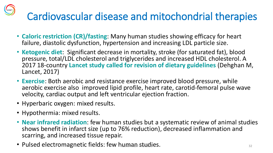#### Cardiovascular disease and mitochondrial therapies

- **Caloric restriction (CR)/fasting**: Many human studies showing efficacy for heart failure, diastolic dysfunction, hypertension and increasing LDL particle size.
- **Ketogenic diet**: Significant decrease in mortality, stroke (for saturated fat), blood pressure, total/LDL cholesterol and triglycerides and increased HDL cholesterol. A 2017 18-country **Lancet study called for revision of dietary guidelines** (Dehghan M, Lancet, 2017)
- **Exercise**: Both aerobic and resistance exercise improved blood pressure, while aerobic exercise also improved lipid profile, heart rate, carotid-femoral pulse wave velocity, cardiac output and left ventricular ejection fraction.
- Hyperbaric oxygen: mixed results.
- Hypothermia: mixed results.
- **Near infrared radiation**: few human studies but a systematic review of animal studies shows benefit in infarct size (up to 76% reduction), decreased inflammation and scarring, and increased tissue repair.
- Pulsed electromagnetic fields: few human studies.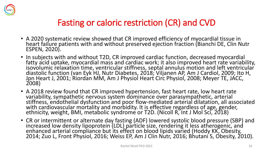

#### Fasting or caloric restriction (CR) and CVD

- A 2020 systematic review showed that CR improved efficiency of myocardial tissue in heart failure patients with and without preserved ejection fraction (Bianchi DE, Clin Nutr ESPEN, 2020).
- In subjects with and without T2D, CR improved cardiac function, decreased myocardial fatty acid uptake, myocardial mass and cardiac work; it also improved heart rate variability, isovolumic relaxation time, ventricular stiffness, septal annulus motion and left ventricular diastolic function (van Eyk HJ, Nutr Diabetes, 2018; Viljanen AP, Am J Cardiol, 2009; Ito H, Jpn Heart J, 2001; Riordán MM, Am J Physiol Heart Circ Physiol, 2008; Meyer TE, JACC, 2008)
- A 2018 review found that CR improved hypertension, fast heart rate, low heart rate variability, sympathetic nervous system dominance over parasympathetic, arterial stiffness, endothelial dysfunction and poor flow-mediated arterial dilatation, all associated with cardiovascular mortality and morbidity. It is effective regardless of age, gender, ethnicity, weight, BMI, metabolic syndrome or T2D. (Nicoll R, Int J Mol Sci, 2018)
- CR or intermittent or alternate day fasting (ADF) lowered systolic blood pressure (SBP) and increased low density lipoprotein (LDL) particle size, rendering it less atherogenic, and enhanced arterial compliance but its effect on blood lipids varied (Hoddy KK, Obesity, 2014; Zuo L, Front Physiol, 2016; Weiss EP, Am J Clin Nutr, 2016; Bhutani S, Obesity, 2010).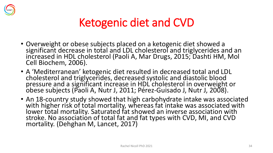

#### Ketogenic diet and CVD

- Overweight or obese subjects placed on a ketogenic diet showed a significant decrease in total and LDL cholesterol and triglycerides and an increased in HDL cholesterol (Paoli A, Mar Drugs, 2015; Dashti HM, Mol Cell Biochem, 2006).
- A 'Mediterranean' ketogenic diet resulted in decreased total and LDL cholesterol and triglycerides, decreased systolic and diastolic blood pressure and a significant increase in HDL cholesterol in overweight or obese subjects (Paoli A, Nutr J, 2011; Pérez-Guisado J, Nutr J, 2008).
- An 18-country study showed that high carbohydrate intake was associated with higher risk of total mortality, whereas fat intake was associated with lower total mortality. Saturated fat showed an inverse association with stroke. No association of total fat and fat types with CVD, MI, and CVD mortality. (Dehghan M, Lancet, 2017)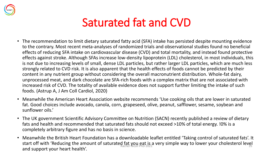

#### Saturated fat and CVD

- The recommendation to limit dietary saturated fatty acid (SFA) intake has persisted despite mounting evidence to the contrary. Most recent meta-analyses of randomized trials and observational studies found no beneficial effects of reducing SFA intake on cardiovascular disease (CVD) and total mortality, and instead found protective effects against stroke. Although SFAs increase low-density lipoprotein (LDL) cholesterol, in most individuals, this is not due to increasing levels of small, dense LDL particles, but rather larger LDL particles, which are much less strongly related to CVD risk. It is also apparent that the health effects of foods cannot be predicted by their content in any nutrient group without considering the overall macronutrient distribution. Whole-fat dairy, unprocessed meat, and dark chocolate are SFA-rich foods with a complex matrix that are not associated with increased risk of CVD. The totality of available evidence does not support further limiting the intake of such foods. (Astrup A, J Am Coll Cardiol, 2020)
- Meanwhile the American Heart Association website recommends 'Use cooking oils that are lower in saturated fat. Good choices include avocado, canola, corn, grapeseed, olive, peanut, safflower, sesame, soybean and sunflower oils.'
- The UK government Scientific Advisory Committee on Nutrition (SACN) recently published a review of dietary fats and health and recommended that saturated fats should not exceed >10% of total energy. !0% is a completely arbitrary figure and has no basis in science.
- Meanwhile the British Heart Foundation has a downloadable leaflet entitled 'Taking control of saturated fats'. It start off with 'Reducing the amount of saturated fat you eat is a very simple way to lower your cholesterol level and support your heart health'.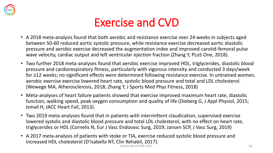

#### Exercise and CVD

- A 2018 meta-analysis found that both aerobic and resistance exercise over 24 weeks in subjects aged between 50-60 reduced aortic systolic pressure, while resistance exercise decreased aortic diastolic pressure and aerobic exercise decreased the augmentation index and improved carotid-femoral pulse wave velocity, cardiac output and left ventricular ejection fraction (Zhang Y, PLoS One, 2018).
- Two further 2018 meta-analyses found that aerobic exercise improved HDL, triglycerides, diastolic blood pressure and cardiorespiratory fitness, particularly with vigorous intensity and conducted 3 days/week for ≥12 weeks; no significant effects were determined following resistance exercise. In untrained women, aerobic exercise exercise lowered heart rate, systolic blood pressure and total and LDL cholesterol. (Wewege MA, Atherosclerosis, 2018; Zhang Y, J Sports Med Phys Fitness, 2018)
- Meta-analyses of heart failure patients showed that exercise improved maximum heart rate, diastolic function, walking speed, peak oxygen consumption and quality of life (Dieberg G, J Appl Physiol, 2015; Ismail H, JACC Heart Fail, 2013).
- Two 2019 meta-analyses found that in patients with intermittent claudication, supervised exercise lowered systolic and diastolic blood pressure and total LDL cholesterol, with no effect on heart rate, triglycerides or HDL (Cornelis N, Eur J Vasc Endovasc Surg, 2019; Jansen SCP, J Vasc Surg, 2019)
- A 2017 meta-analysis of patients with stoke or TIA, exercise reduced systolic blood pressure and increased HDL cholesterol (D'Isabella NT, Clin Rehabil, 2017).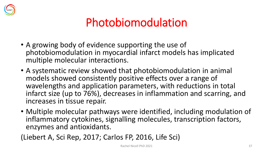

#### Photobiomodulation

- A growing body of evidence supporting the use of photobiomodulation in myocardial infarct models has implicated multiple molecular interactions.
- A systematic review showed that photobiomodulation in animal models showed consistently positive effects over a range of wavelengths and application parameters, with reductions in total infarct size (up to 76%), decreases in inflammation and scarring, and increases in tissue repair.
- Multiple molecular pathways were identified, including modulation of inflammatory cytokines, signalling molecules, transcription factors, enzymes and antioxidants.

(Liebert A, Sci Rep, 2017; Carlos FP, 2016, Life Sci)